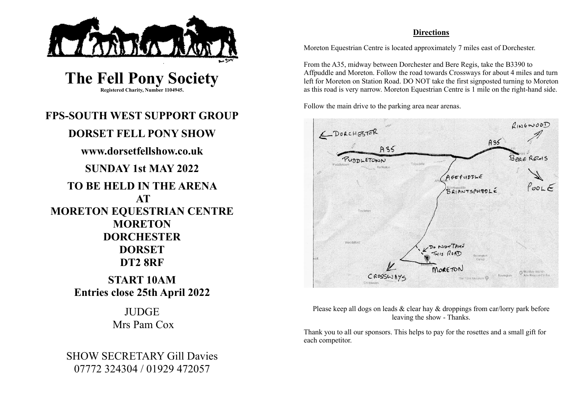

**The Fell Pony Society Registered Charity, Number 1104945.**

# **FPS-SOUTH WEST SUPPORT GROUP DORSET FELL PONY SHOW www.dorsetfellshow.co.uk SUNDAY 1st MAY 2022 TO BE HELD IN THE ARENA AT MORETON EQUESTRIAN CENTRE MORETON DORCHESTER DORSET DT2 8RF**

**START 10AM Entries close 25th April 2022**

> **JUDGE** Mrs Pam Cox

SHOW SECRETARY Gill Davies 07772 324304 / 01929 472057

### **Directions**

Moreton Equestrian Centre is located approximately 7 miles east of Dorchester.

From the A35, midway between Dorchester and Bere Regis, take the B3390 to Affpuddle and Moreton. Follow the road towards Crossways for about 4 miles and turn left for Moreton on Station Road. DO NOT take the first signposted turning to Moreton as this road is very narrow. Moreton Equestrian Centre is 1 mile on the right-hand side.

Follow the main drive to the parking area near arenas.



Please keep all dogs on leads & clear hay & droppings from car/lorry park before leaving the show - Thanks.

Thank you to all our sponsors. This helps to pay for the rosettes and a small gift for each competitor.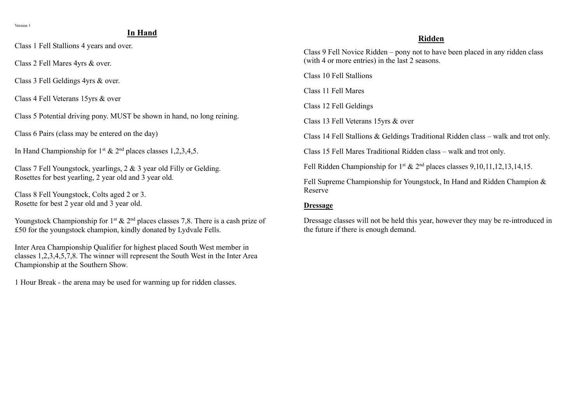## **In Hand**

Class 1 Fell Stallions 4 years and over.

Class 2 Fell Mares 4yrs & over.

Class 3 Fell Geldings 4yrs & over.

Class 4 Fell Veterans 15yrs & over

Class 5 Potential driving pony. MUST be shown in hand, no long reining.

Class 6 Pairs (class may be entered on the day)

In Hand Championship for  $1^{st}$  &  $2^{nd}$  places classes 1,2,3,4,5.

Class 7 Fell Youngstock, yearlings, 2 & 3 year old Filly or Gelding. Rosettes for best yearling, 2 year old and 3 year old.

Class 8 Fell Youngstock, Colts aged 2 or 3. Rosette for best 2 year old and 3 year old.

Youngstock Championship for 1<sup>st</sup> & 2<sup>nd</sup> places classes 7,8. There is a cash prize of £50 for the youngstock champion, kindly donated by Lydvale Fells.

Inter Area Championship Qualifier for highest placed South West member in classes 1,2,3,4,5,7,8. The winner will represent the South West in the Inter Area Championship at the Southern Show.

1 Hour Break - the arena may be used for warming up for ridden classes.

#### **Ridden**

Class 9 Fell Novice Ridden – pony not to have been placed in any ridden class (with 4 or more entries) in the last 2 seasons.

Class 10 Fell Stallions

Class 11 Fell Mares

Class 12 Fell Geldings

Class 13 Fell Veterans 15yrs & over

Class 14 Fell Stallions & Geldings Traditional Ridden class – walk and trot only.

Class 15 Fell Mares Traditional Ridden class – walk and trot only.

Fell Ridden Championship for  $1^{st}$  &  $2^{nd}$  places classes 9,10,11,12,13,14,15.

Fell Supreme Championship for Youngstock, In Hand and Ridden Champion & Reserve

#### **Dressage**

Dressage classes will not be held this year, however they may be re-introduced in the future if there is enough demand.